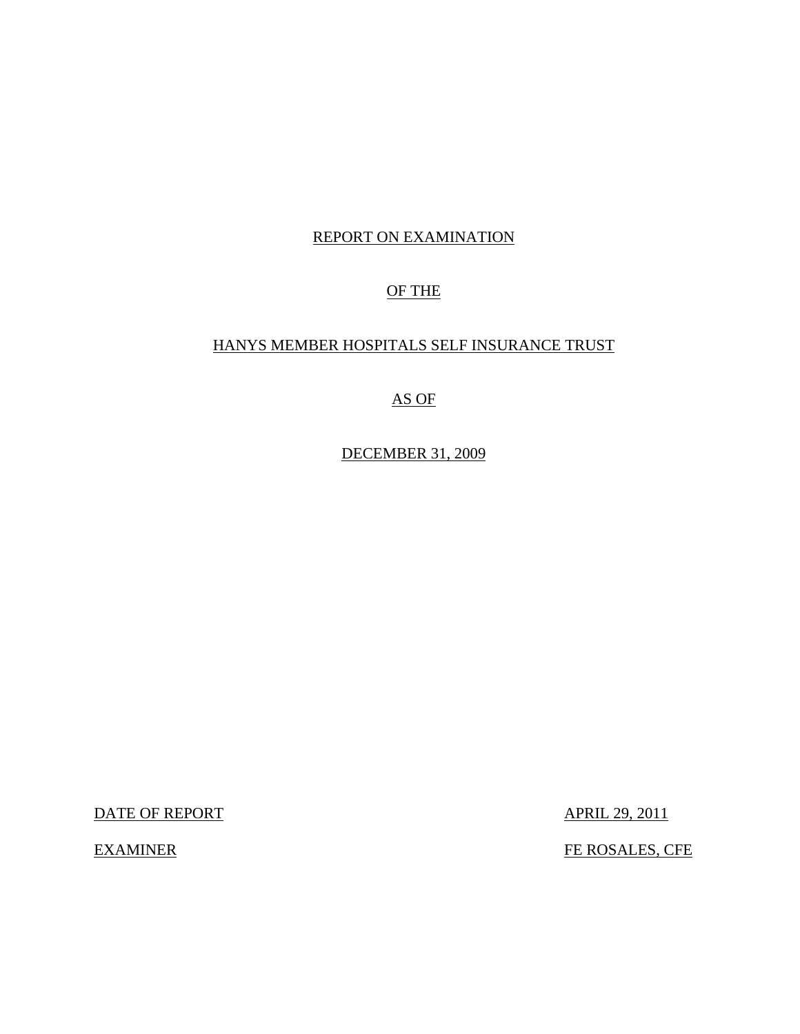# REPORT ON EXAMINATION

# OF THE

# HANYS MEMBER HOSPITALS SELF INSURANCE TRUST

# AS OF

DECEMBER 31, 2009

DATE OF REPORT APRIL 29, 2011

EXAMINER FE ROSALES, CFE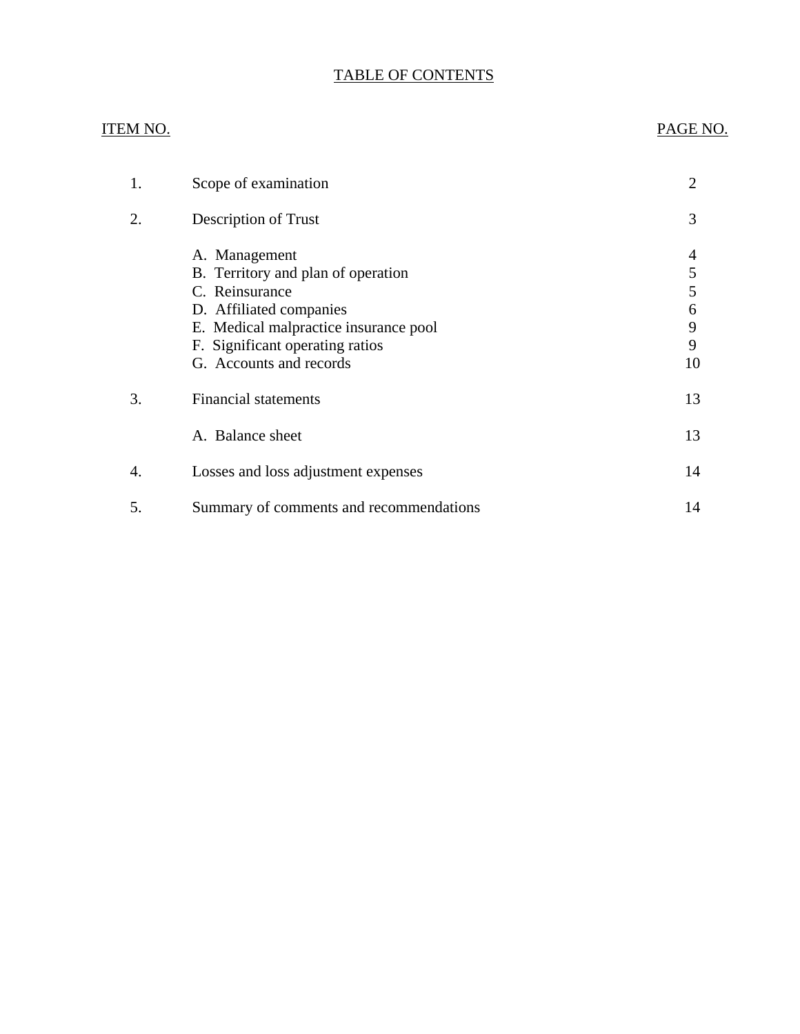# TABLE OF CONTENTS

# ITEM NO. PAGE NO. [1. Scope of examination 2](#page-3-0) [2. Description of Trust 3](#page-4-0) [A. Management 4](#page-5-0)<br>B. Territory and plan of operation 5 B. Territory and plan of operation C. Reinsurance 5 [D. Affiliated companies 6](#page-7-0)<br>
E. Medical malpractice insurance pool 9 E. Medical malpractice insurance pool 9<br>
F. Significant operating ratios 9 F. Significant operating ratios [G. Accounts and records 10](#page-11-0) 3. Financial statements 13 A. Balance sheet 13 4. Losses and loss adjustment expenses 14 5. Summary of comments and recommendations 14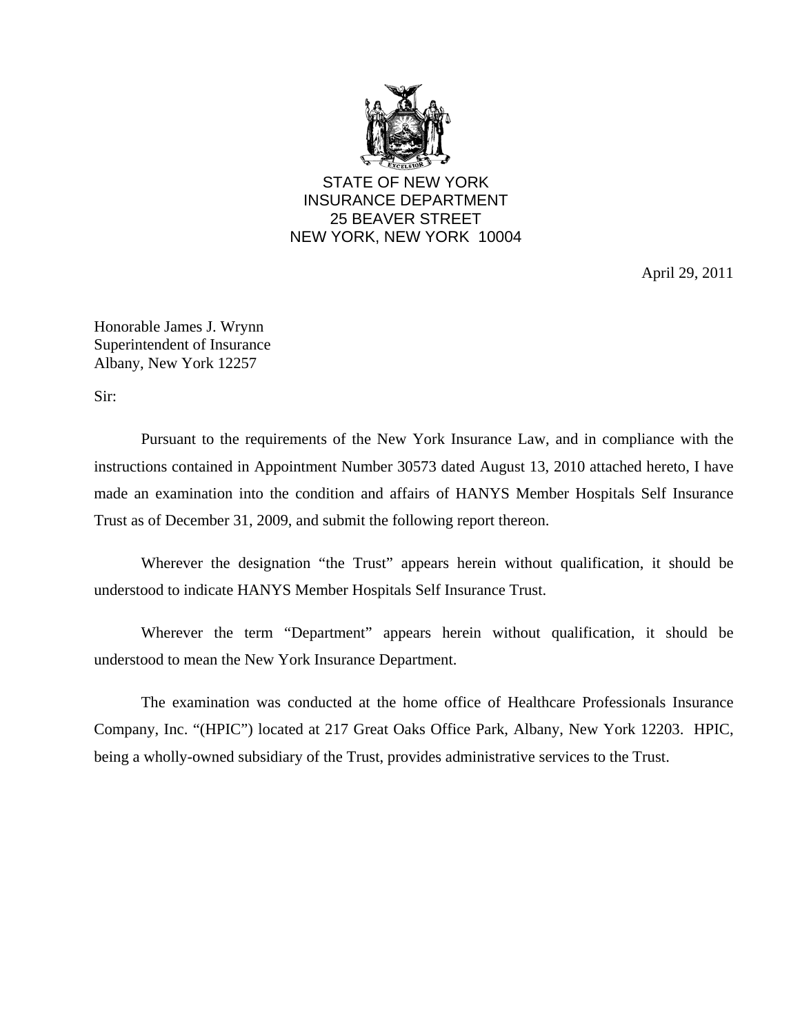

STATE OF NEW YORK INSURANCE DEPARTMENT 25 BEAVER STREET NEW YORK, NEW YORK 10004

April 29, 2011

Honorable James J. Wrynn Superintendent of Insurance Albany, New York 12257

Sir:

Pursuant to the requirements of the New York Insurance Law, and in compliance with the instructions contained in Appointment Number 30573 dated August 13, 2010 attached hereto, I have made an examination into the condition and affairs of HANYS Member Hospitals Self Insurance Trust as of December 31, 2009, and submit the following report thereon.

Wherever the designation "the Trust" appears herein without qualification, it should be understood to indicate HANYS Member Hospitals Self Insurance Trust.

Wherever the term "Department" appears herein without qualification, it should be understood to mean the New York Insurance Department.

The examination was conducted at the home office of Healthcare Professionals Insurance Company, Inc. "(HPIC") located at 217 Great Oaks Office Park, Albany, New York 12203. HPIC, being a wholly-owned subsidiary of the Trust, provides administrative services to the Trust.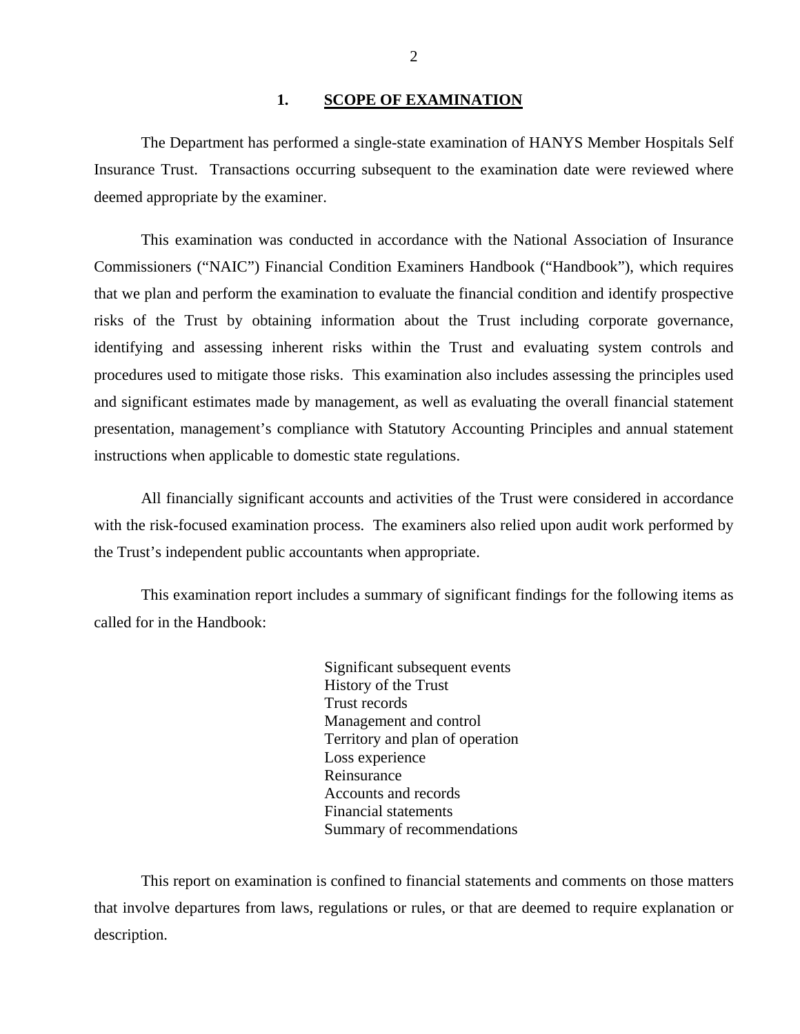#### 1. **SCOPE OF EXAMINATION**

<span id="page-3-0"></span>The Department has performed a single-state examination of HANYS Member Hospitals Self Insurance Trust. Transactions occurring subsequent to the examination date were reviewed where deemed appropriate by the examiner.

This examination was conducted in accordance with the National Association of Insurance Commissioners ("NAIC") Financial Condition Examiners Handbook ("Handbook"), which requires that we plan and perform the examination to evaluate the financial condition and identify prospective risks of the Trust by obtaining information about the Trust including corporate governance, identifying and assessing inherent risks within the Trust and evaluating system controls and procedures used to mitigate those risks. This examination also includes assessing the principles used and significant estimates made by management, as well as evaluating the overall financial statement presentation, management's compliance with Statutory Accounting Principles and annual statement instructions when applicable to domestic state regulations.

All financially significant accounts and activities of the Trust were considered in accordance with the risk-focused examination process. The examiners also relied upon audit work performed by the Trust's independent public accountants when appropriate.

This examination report includes a summary of significant findings for the following items as called for in the Handbook:

> Significant subsequent events History of the Trust Trust records Management and control Territory and plan of operation Loss experience Reinsurance Accounts and records Financial statements Summary of recommendations

This report on examination is confined to financial statements and comments on those matters that involve departures from laws, regulations or rules, or that are deemed to require explanation or description.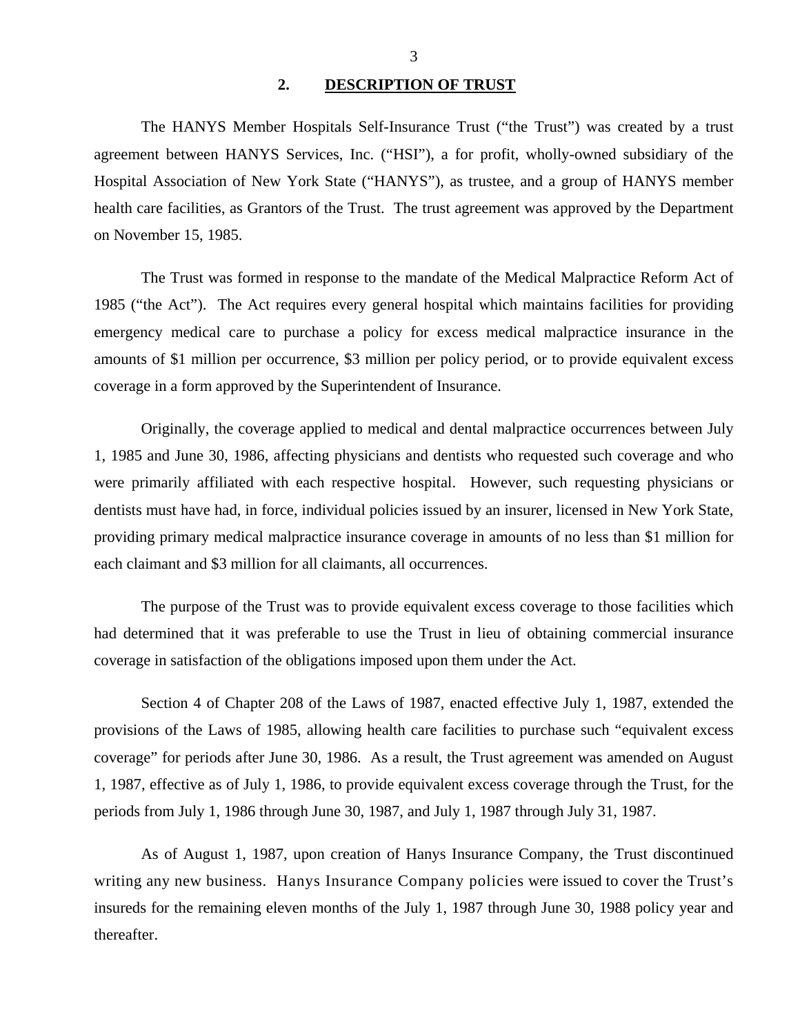**2. DESCRIPTION OF TRUST** 

<span id="page-4-0"></span>The HANYS Member Hospitals Self-Insurance Trust ("the Trust") was created by a trust agreement between HANYS Services, Inc. ("HSI"), a for profit, wholly-owned subsidiary of the Hospital Association of New York State ("HANYS"), as trustee, and a group of HANYS member health care facilities, as Grantors of the Trust. The trust agreement was approved by the Department on November 15, 1985.

The Trust was formed in response to the mandate of the Medical Malpractice Reform Act of 1985 ("the Act"). The Act requires every general hospital which maintains facilities for providing emergency medical care to purchase a policy for excess medical malpractice insurance in the amounts of \$1 million per occurrence, \$3 million per policy period, or to provide equivalent excess coverage in a form approved by the Superintendent of Insurance.

Originally, the coverage applied to medical and dental malpractice occurrences between July 1, 1985 and June 30, 1986, affecting physicians and dentists who requested such coverage and who were primarily affiliated with each respective hospital. However, such requesting physicians or dentists must have had, in force, individual policies issued by an insurer, licensed in New York State, providing primary medical malpractice insurance coverage in amounts of no less than \$1 million for each claimant and \$3 million for all claimants, all occurrences.

The purpose of the Trust was to provide equivalent excess coverage to those facilities which had determined that it was preferable to use the Trust in lieu of obtaining commercial insurance coverage in satisfaction of the obligations imposed upon them under the Act.

Section 4 of Chapter 208 of the Laws of 1987, enacted effective July 1, 1987, extended the provisions of the Laws of 1985, allowing health care facilities to purchase such "equivalent excess coverage" for periods after June 30, 1986. As a result, the Trust agreement was amended on August 1, 1987, effective as of July 1, 1986, to provide equivalent excess coverage through the Trust, for the periods from July 1, 1986 through June 30, 1987, and July 1, 1987 through July 31, 1987.

As of August 1, 1987, upon creation of Hanys Insurance Company, the Trust discontinued writing any new business. Hanys Insurance Company policies were issued to cover the Trust's insureds for the remaining eleven months of the July 1, 1987 through June 30, 1988 policy year and thereafter.

3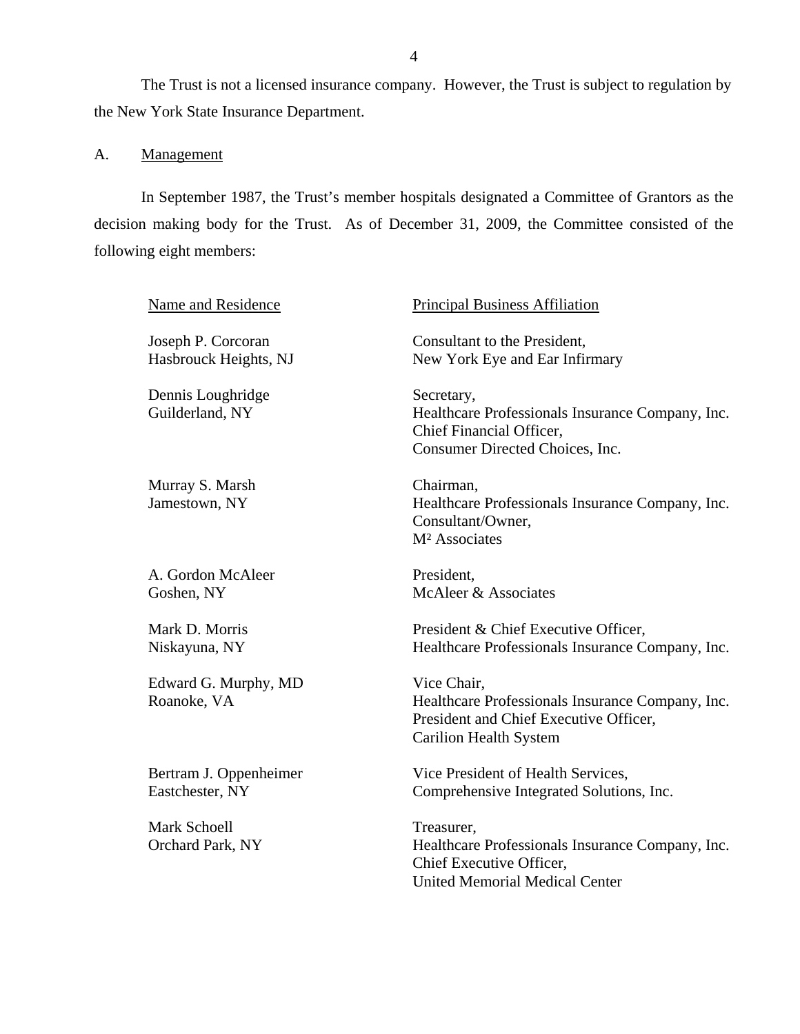<span id="page-5-0"></span>The Trust is not a licensed insurance company. However, the Trust is subject to regulation by the New York State Insurance Department.

# A. Management

In September 1987, the Trust's member hospitals designated a Committee of Grantors as the decision making body for the Trust. As of December 31, 2009, the Committee consisted of the following eight members:

| Name and Residence                          | <b>Principal Business Affiliation</b>                                                                                                      |
|---------------------------------------------|--------------------------------------------------------------------------------------------------------------------------------------------|
| Joseph P. Corcoran<br>Hasbrouck Heights, NJ | Consultant to the President,<br>New York Eye and Ear Infirmary                                                                             |
| Dennis Loughridge<br>Guilderland, NY        | Secretary,<br>Healthcare Professionals Insurance Company, Inc.<br>Chief Financial Officer,<br>Consumer Directed Choices, Inc.              |
| Murray S. Marsh<br>Jamestown, NY            | Chairman,<br>Healthcare Professionals Insurance Company, Inc.<br>Consultant/Owner,<br>M <sup>2</sup> Associates                            |
| A. Gordon McAleer<br>Goshen, NY             | President,<br>McAleer & Associates                                                                                                         |
| Mark D. Morris<br>Niskayuna, NY             | President & Chief Executive Officer,<br>Healthcare Professionals Insurance Company, Inc.                                                   |
| Edward G. Murphy, MD<br>Roanoke, VA         | Vice Chair,<br>Healthcare Professionals Insurance Company, Inc.<br>President and Chief Executive Officer,<br><b>Carilion Health System</b> |
| Bertram J. Oppenheimer<br>Eastchester, NY   | Vice President of Health Services,<br>Comprehensive Integrated Solutions, Inc.                                                             |
| <b>Mark Schoell</b><br>Orchard Park, NY     | Treasurer,<br>Healthcare Professionals Insurance Company, Inc.<br>Chief Executive Officer,<br><b>United Memorial Medical Center</b>        |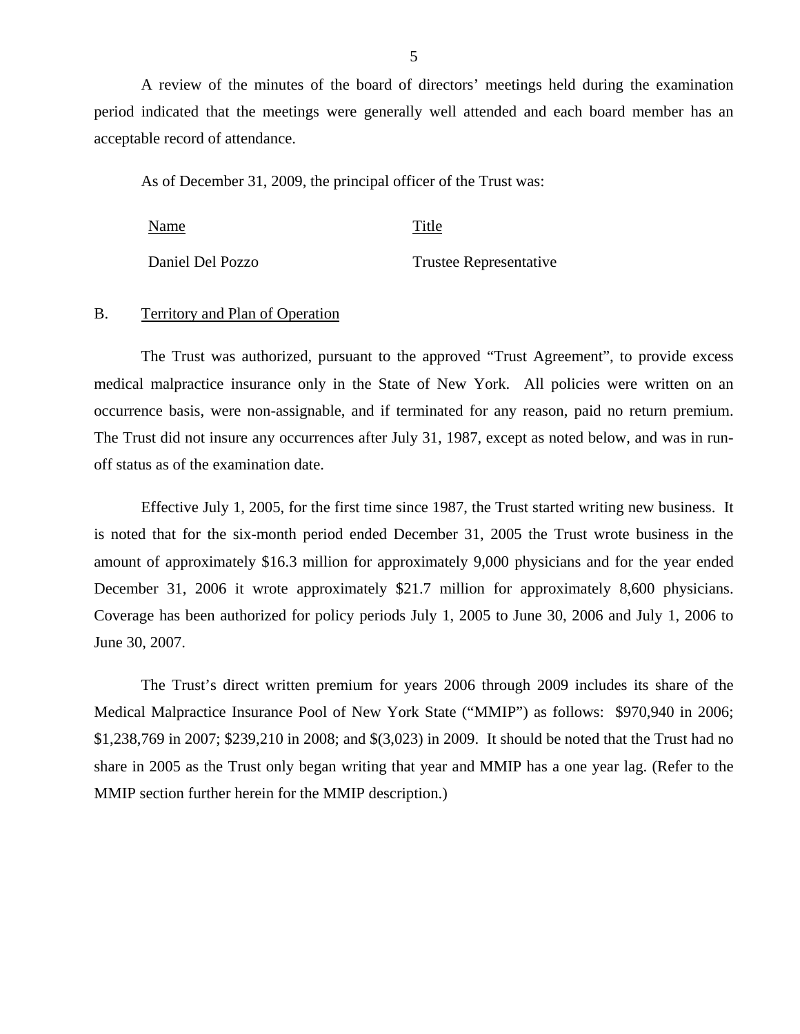A review of the minutes of the board of directors' meetings held during the examination period indicated that the meetings were generally well attended and each board member has an acceptable record of attendance.

As of December 31, 2009, the principal officer of the Trust was:

| Name             | Title                  |
|------------------|------------------------|
| Daniel Del Pozzo | Trustee Representative |

#### B. Territory and Plan of Operation

The Trust was authorized, pursuant to the approved "Trust Agreement", to provide excess medical malpractice insurance only in the State of New York. All policies were written on an occurrence basis, were non-assignable, and if terminated for any reason, paid no return premium. The Trust did not insure any occurrences after July 31, 1987, except as noted below, and was in runoff status as of the examination date.

Effective July 1, 2005, for the first time since 1987, the Trust started writing new business. It is noted that for the six-month period ended December 31, 2005 the Trust wrote business in the amount of approximately \$16.3 million for approximately 9,000 physicians and for the year ended December 31, 2006 it wrote approximately \$21.7 million for approximately 8,600 physicians. Coverage has been authorized for policy periods July 1, 2005 to June 30, 2006 and July 1, 2006 to June 30, 2007.

The Trust's direct written premium for years 2006 through 2009 includes its share of the Medical Malpractice Insurance Pool of New York State ("MMIP") as follows: \$970,940 in 2006; \$1,238,769 in 2007; \$239,210 in 2008; and \$(3,023) in 2009. It should be noted that the Trust had no share in 2005 as the Trust only began writing that year and MMIP has a one year lag. (Refer to the MMIP section further herein for the MMIP description.)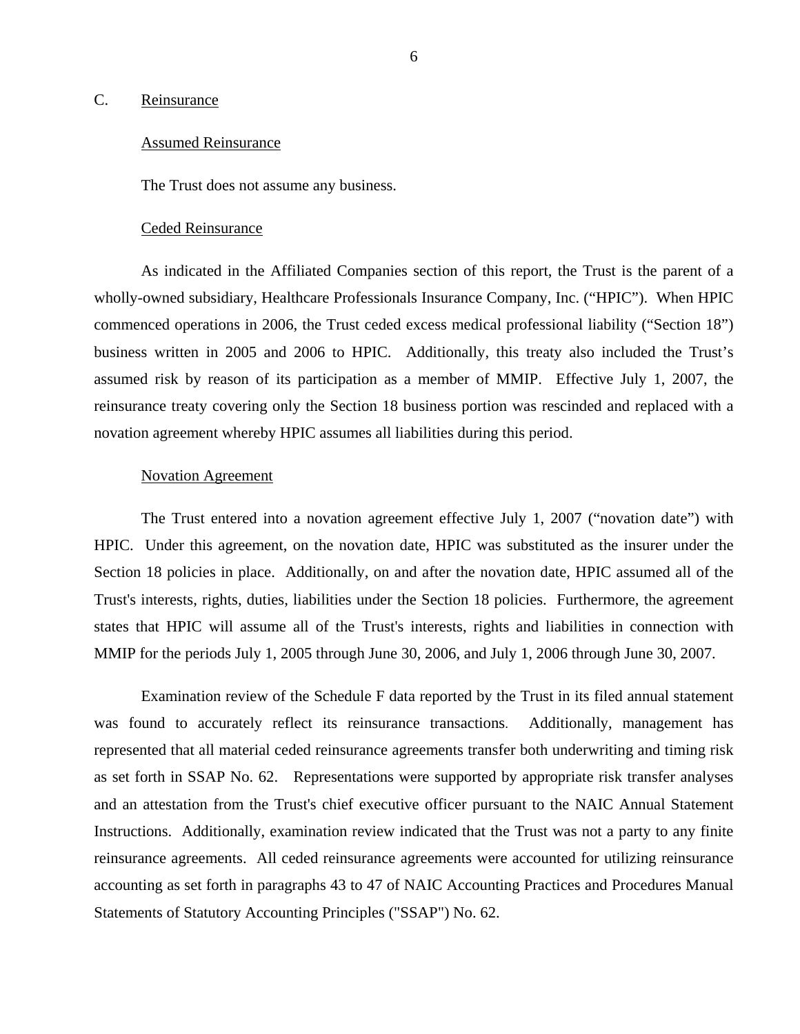#### <span id="page-7-0"></span>C. Reinsurance

#### Assumed Reinsurance

The Trust does not assume any business.

#### Ceded Reinsurance

As indicated in the Affiliated Companies section of this report, the Trust is the parent of a wholly-owned subsidiary, Healthcare Professionals Insurance Company, Inc. ("HPIC"). When HPIC commenced operations in 2006, the Trust ceded excess medical professional liability ("Section 18") business written in 2005 and 2006 to HPIC. Additionally, this treaty also included the Trust's assumed risk by reason of its participation as a member of MMIP. Effective July 1, 2007, the reinsurance treaty covering only the Section 18 business portion was rescinded and replaced with a novation agreement whereby HPIC assumes all liabilities during this period.

#### Novation Agreement

The Trust entered into a novation agreement effective July 1, 2007 ("novation date") with HPIC. Under this agreement, on the novation date, HPIC was substituted as the insurer under the Section 18 policies in place. Additionally, on and after the novation date, HPIC assumed all of the Trust's interests, rights, duties, liabilities under the Section 18 policies. Furthermore, the agreement states that HPIC will assume all of the Trust's interests, rights and liabilities in connection with MMIP for the periods July 1, 2005 through June 30, 2006, and July 1, 2006 through June 30, 2007.

Examination review of the Schedule F data reported by the Trust in its filed annual statement was found to accurately reflect its reinsurance transactions. Additionally, management has represented that all material ceded reinsurance agreements transfer both underwriting and timing risk as set forth in SSAP No. 62. Representations were supported by appropriate risk transfer analyses and an attestation from the Trust's chief executive officer pursuant to the NAIC Annual Statement Instructions. Additionally, examination review indicated that the Trust was not a party to any finite reinsurance agreements. All ceded reinsurance agreements were accounted for utilizing reinsurance accounting as set forth in paragraphs 43 to 47 of NAIC Accounting Practices and Procedures Manual Statements of Statutory Accounting Principles ("SSAP") No. 62.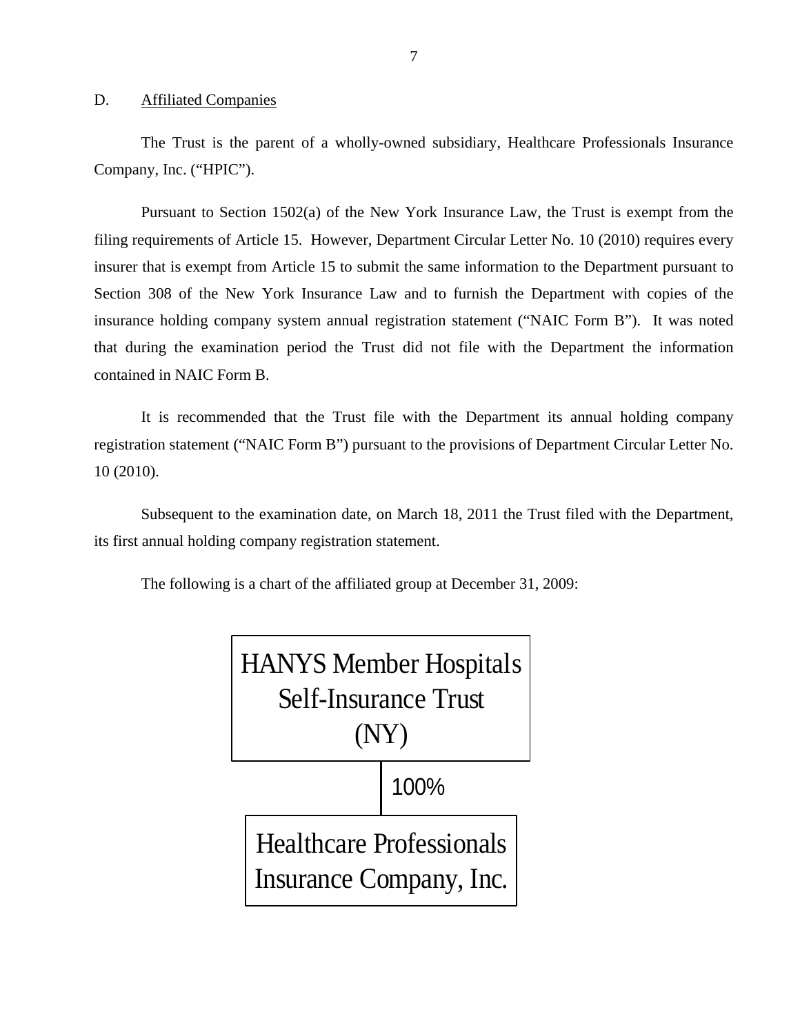#### D. Affiliated Companies

The Trust is the parent of a wholly-owned subsidiary, Healthcare Professionals Insurance Company, Inc. ("HPIC").

Pursuant to Section 1502(a) of the New York Insurance Law, the Trust is exempt from the filing requirements of Article 15. However, Department Circular Letter No. 10 (2010) requires every insurer that is exempt from Article 15 to submit the same information to the Department pursuant to Section 308 of the New York Insurance Law and to furnish the Department with copies of the insurance holding company system annual registration statement ("NAIC Form B"). It was noted that during the examination period the Trust did not file with the Department the information contained in NAIC Form B.

It is recommended that the Trust file with the Department its annual holding company registration statement ("NAIC Form B") pursuant to the provisions of Department Circular Letter No. 10 (2010).

Subsequent to the examination date, on March 18, 2011 the Trust filed with the Department, its first annual holding company registration statement.

The following is a chart of the affiliated group at December 31, 2009:

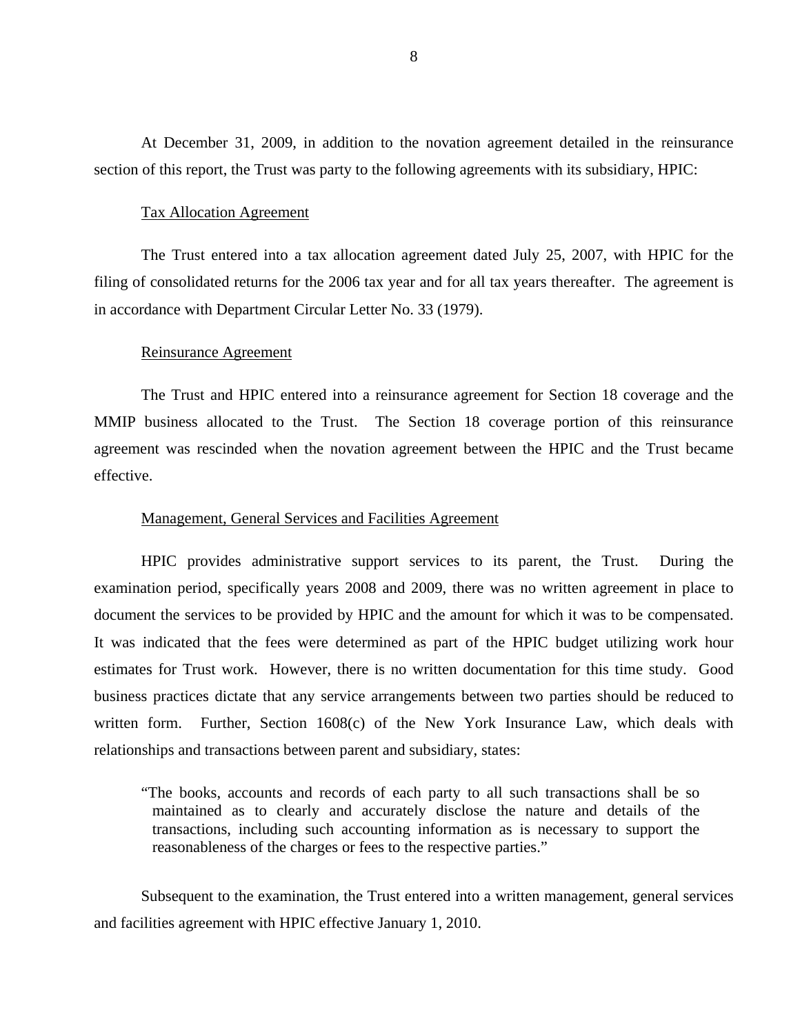At December 31, 2009, in addition to the novation agreement detailed in the reinsurance section of this report, the Trust was party to the following agreements with its subsidiary, HPIC:

#### Tax Allocation Agreement

The Trust entered into a tax allocation agreement dated July 25, 2007, with HPIC for the filing of consolidated returns for the 2006 tax year and for all tax years thereafter. The agreement is in accordance with Department Circular Letter No. 33 (1979).

#### Reinsurance Agreement

The Trust and HPIC entered into a reinsurance agreement for Section 18 coverage and the MMIP business allocated to the Trust. The Section 18 coverage portion of this reinsurance agreement was rescinded when the novation agreement between the HPIC and the Trust became effective.

#### Management, General Services and Facilities Agreement

HPIC provides administrative support services to its parent, the Trust. During the examination period, specifically years 2008 and 2009, there was no written agreement in place to document the services to be provided by HPIC and the amount for which it was to be compensated. It was indicated that the fees were determined as part of the HPIC budget utilizing work hour estimates for Trust work. However, there is no written documentation for this time study. Good business practices dictate that any service arrangements between two parties should be reduced to written form. Further, Section 1608(c) of the New York Insurance Law, which deals with relationships and transactions between parent and subsidiary, states:

"The books, accounts and records of each party to all such transactions shall be so maintained as to clearly and accurately disclose the nature and details of the transactions, including such accounting information as is necessary to support the reasonableness of the charges or fees to the respective parties."

Subsequent to the examination, the Trust entered into a written management, general services and facilities agreement with HPIC effective January 1, 2010.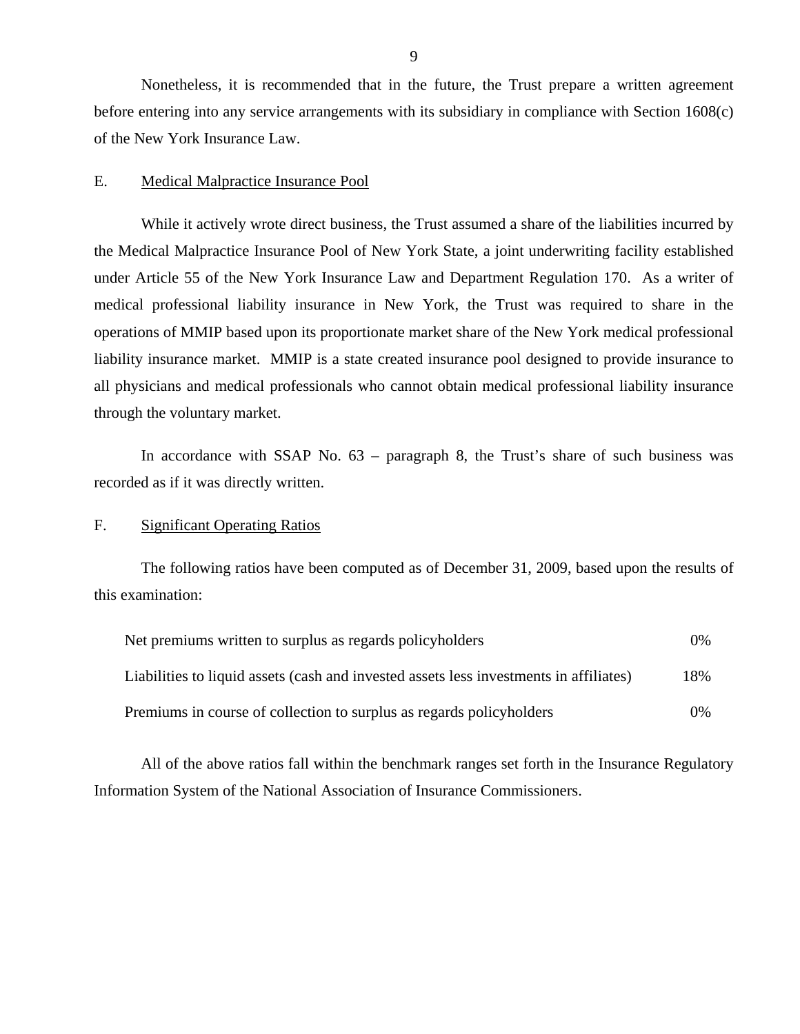Nonetheless, it is recommended that in the future, the Trust prepare a written agreement before entering into any service arrangements with its subsidiary in compliance with Section 1608(c) of the New York Insurance Law.

### E. Medical Malpractice Insurance Pool

While it actively wrote direct business, the Trust assumed a share of the liabilities incurred by the Medical Malpractice Insurance Pool of New York State, a joint underwriting facility established under Article 55 of the New York Insurance Law and Department Regulation 170. As a writer of medical professional liability insurance in New York, the Trust was required to share in the operations of MMIP based upon its proportionate market share of the New York medical professional liability insurance market. MMIP is a state created insurance pool designed to provide insurance to all physicians and medical professionals who cannot obtain medical professional liability insurance through the voluntary market.

In accordance with SSAP No. 63 – paragraph 8, the Trust's share of such business was recorded as if it was directly written.

### F. Significant Operating Ratios

The following ratios have been computed as of December 31, 2009, based upon the results of this examination:

| Net premiums written to surplus as regards policyholders                               |       |
|----------------------------------------------------------------------------------------|-------|
| Liabilities to liquid assets (cash and invested assets less investments in affiliates) | 18%   |
| Premiums in course of collection to surplus as regards policyholders                   | $0\%$ |

All of the above ratios fall within the benchmark ranges set forth in the Insurance Regulatory Information System of the National Association of Insurance Commissioners.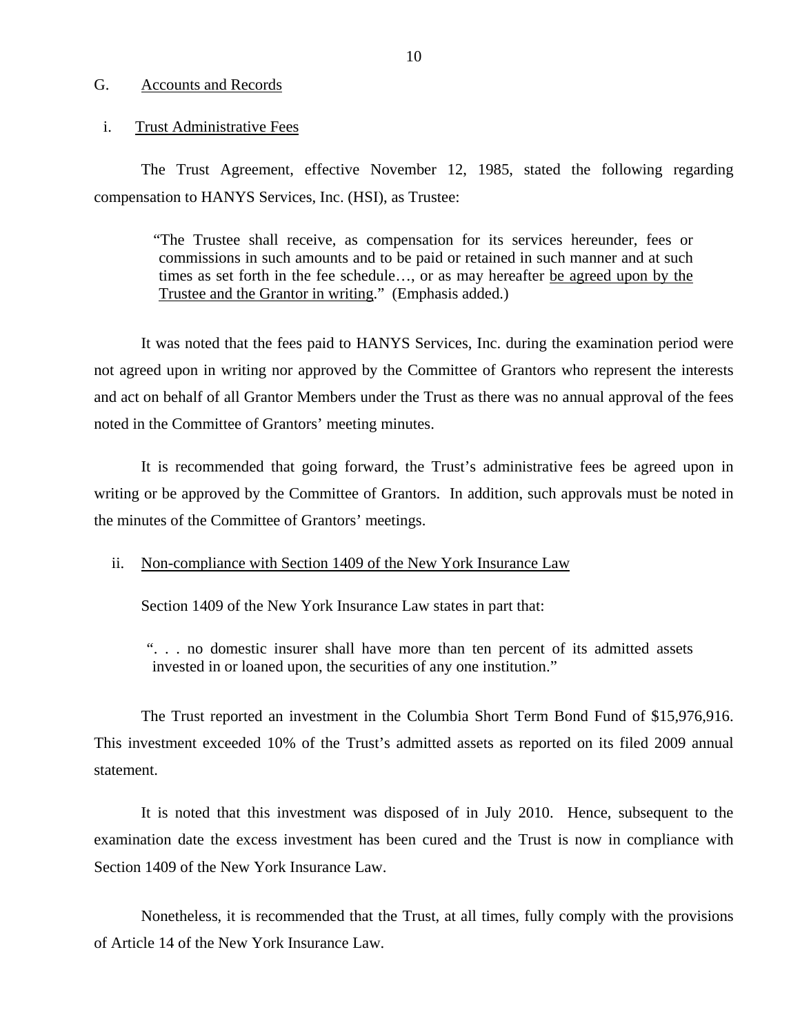#### <span id="page-11-0"></span>G. Accounts and Records

#### i. Trust Administrative Fees

The Trust Agreement, effective November 12, 1985, stated the following regarding compensation to HANYS Services, Inc. (HSI), as Trustee:

"The Trustee shall receive, as compensation for its services hereunder, fees or commissions in such amounts and to be paid or retained in such manner and at such times as set forth in the fee schedule…, or as may hereafter be agreed upon by the Trustee and the Grantor in writing." (Emphasis added.)

It was noted that the fees paid to HANYS Services, Inc. during the examination period were not agreed upon in writing nor approved by the Committee of Grantors who represent the interests and act on behalf of all Grantor Members under the Trust as there was no annual approval of the fees noted in the Committee of Grantors' meeting minutes.

It is recommended that going forward, the Trust's administrative fees be agreed upon in writing or be approved by the Committee of Grantors. In addition, such approvals must be noted in the minutes of the Committee of Grantors' meetings.

#### ii. Non-compliance with Section 1409 of the New York Insurance Law

Section 1409 of the New York Insurance Law states in part that:

". . . no domestic insurer shall have more than ten percent of its admitted assets invested in or loaned upon, the securities of any one institution."

The Trust reported an investment in the Columbia Short Term Bond Fund of \$15,976,916. This investment exceeded 10% of the Trust's admitted assets as reported on its filed 2009 annual statement.

It is noted that this investment was disposed of in July 2010. Hence, subsequent to the examination date the excess investment has been cured and the Trust is now in compliance with Section 1409 of the New York Insurance Law.

Nonetheless, it is recommended that the Trust, at all times, fully comply with the provisions of Article 14 of the New York Insurance Law.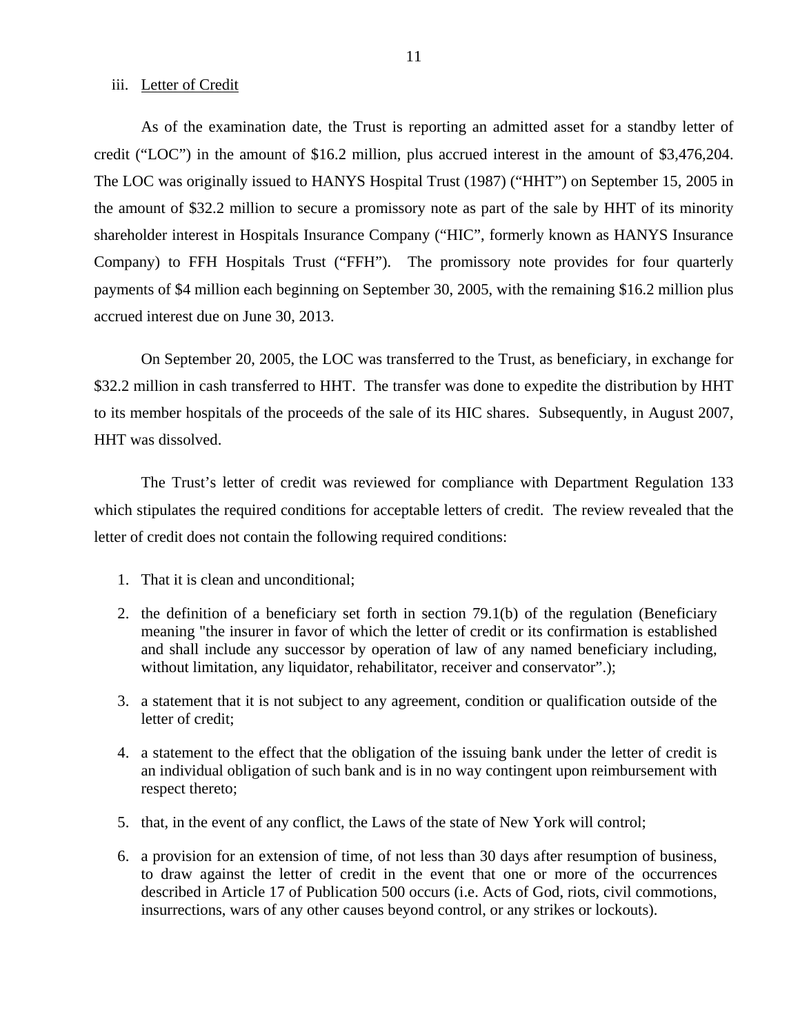#### iii. Letter of Credit

As of the examination date, the Trust is reporting an admitted asset for a standby letter of credit ("LOC") in the amount of \$16.2 million, plus accrued interest in the amount of \$3,476,204. The LOC was originally issued to HANYS Hospital Trust (1987) ("HHT") on September 15, 2005 in the amount of \$32.2 million to secure a promissory note as part of the sale by HHT of its minority shareholder interest in Hospitals Insurance Company ("HIC", formerly known as HANYS Insurance Company) to FFH Hospitals Trust ("FFH"). The promissory note provides for four quarterly payments of \$4 million each beginning on September 30, 2005, with the remaining \$16.2 million plus accrued interest due on June 30, 2013.

On September 20, 2005, the LOC was transferred to the Trust, as beneficiary, in exchange for \$32.2 million in cash transferred to HHT. The transfer was done to expedite the distribution by HHT to its member hospitals of the proceeds of the sale of its HIC shares. Subsequently, in August 2007, HHT was dissolved.

The Trust's letter of credit was reviewed for compliance with Department Regulation 133 which stipulates the required conditions for acceptable letters of credit. The review revealed that the letter of credit does not contain the following required conditions:

- 1. That it is clean and unconditional;
- 2. the definition of a beneficiary set forth in section 79.1(b) of the regulation (Beneficiary meaning "the insurer in favor of which the letter of credit or its confirmation is established and shall include any successor by operation of law of any named beneficiary including, without limitation, any liquidator, rehabilitator, receiver and conservator".);
- 3. a statement that it is not subject to any agreement, condition or qualification outside of the letter of credit;
- 4. a statement to the effect that the obligation of the issuing bank under the letter of credit is an individual obligation of such bank and is in no way contingent upon reimbursement with respect thereto;
- 5. that, in the event of any conflict, the Laws of the state of New York will control;
- 6. a provision for an extension of time, of not less than 30 days after resumption of business, to draw against the letter of credit in the event that one or more of the occurrences described in Article 17 of Publication 500 occurs (i.e. Acts of God, riots, civil commotions, insurrections, wars of any other causes beyond control, or any strikes or lockouts).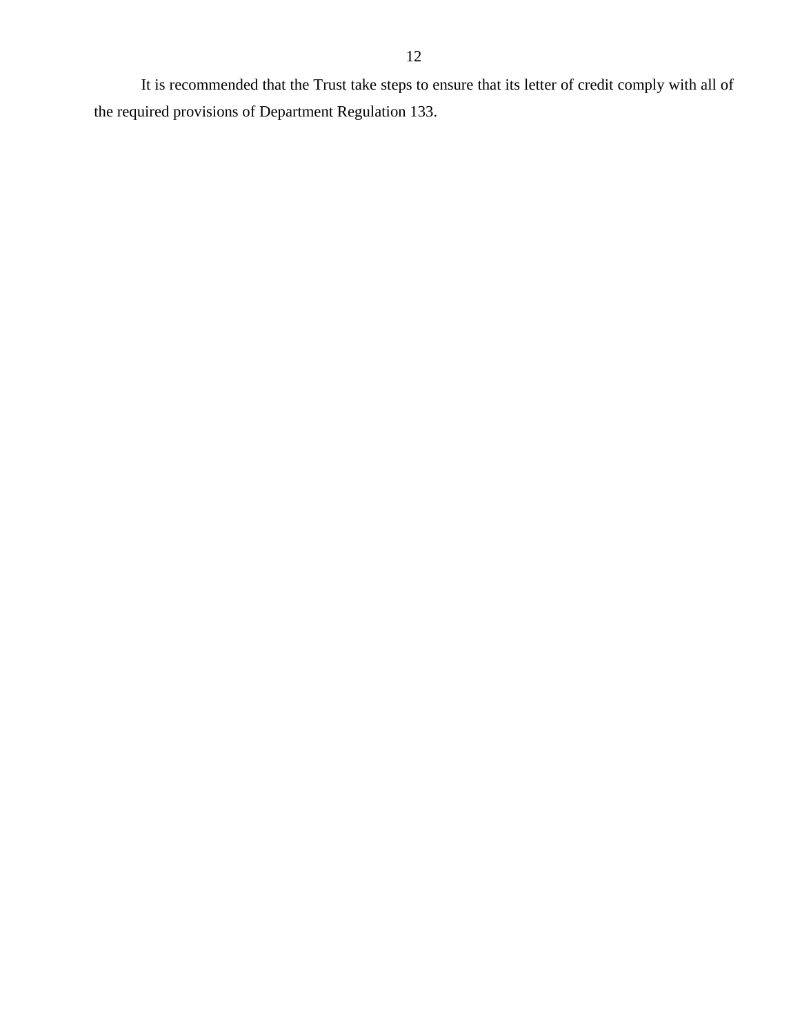It is recommended that the Trust take steps to ensure that its letter of credit comply with all of the required provisions of Department Regulation 133.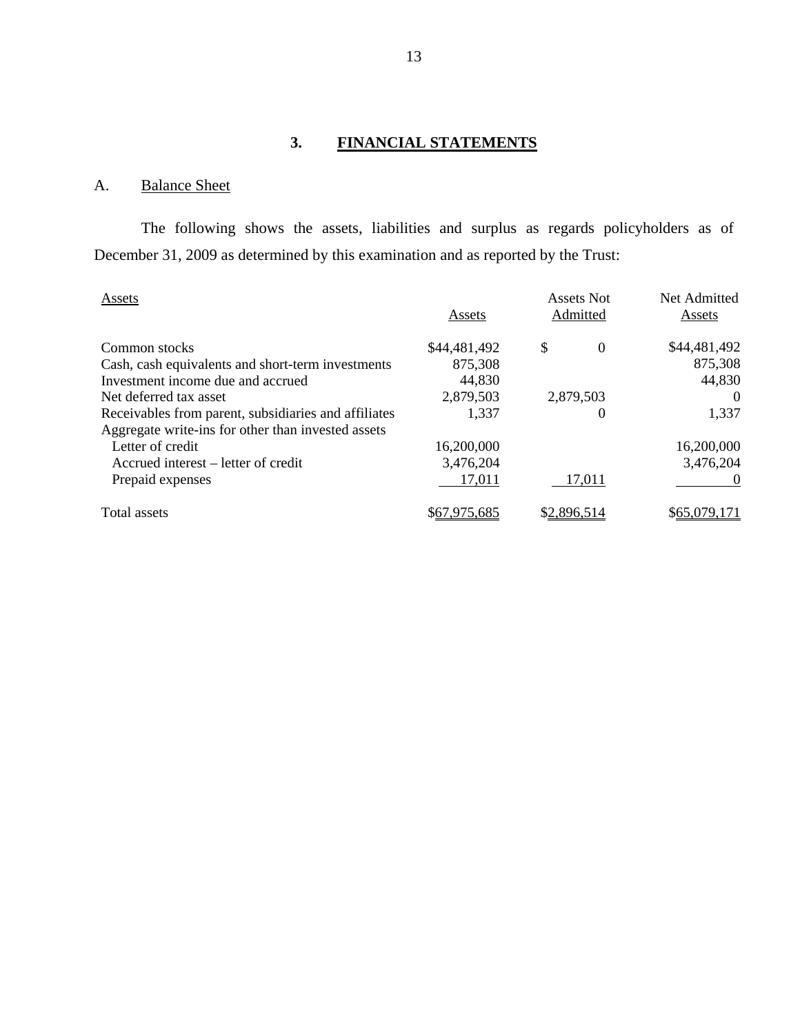# **3. FINANCIAL STATEMENTS**

# A. Balance Sheet

The following shows the assets, liabilities and surplus as regards policyholders as of December 31, 2009 as determined by this examination and as reported by the Trust:

| Assets                                               | <b>Assets Not</b><br>Admitted<br>Assets |                | Net Admitted<br>Assets |
|------------------------------------------------------|-----------------------------------------|----------------|------------------------|
| Common stocks                                        | \$44,481,492                            | \$<br>$\Omega$ | \$44,481,492           |
| Cash, cash equivalents and short-term investments    | 875,308                                 |                | 875,308                |
| Investment income due and accrued                    | 44,830                                  |                | 44,830                 |
| Net deferred tax asset                               | 2,879,503                               | 2,879,503      | $\theta$               |
| Receivables from parent, subsidiaries and affiliates | 1,337                                   | $\theta$       | 1,337                  |
| Aggregate write-ins for other than invested assets   |                                         |                |                        |
| Letter of credit                                     | 16,200,000                              |                | 16,200,000             |
| Accrued interest – letter of credit                  | 3,476,204                               |                | 3,476,204              |
| Prepaid expenses                                     | 17,011                                  | 17,011         |                        |
| Total assets                                         | \$67,975,685                            | \$2,896,514    | \$65,079,171           |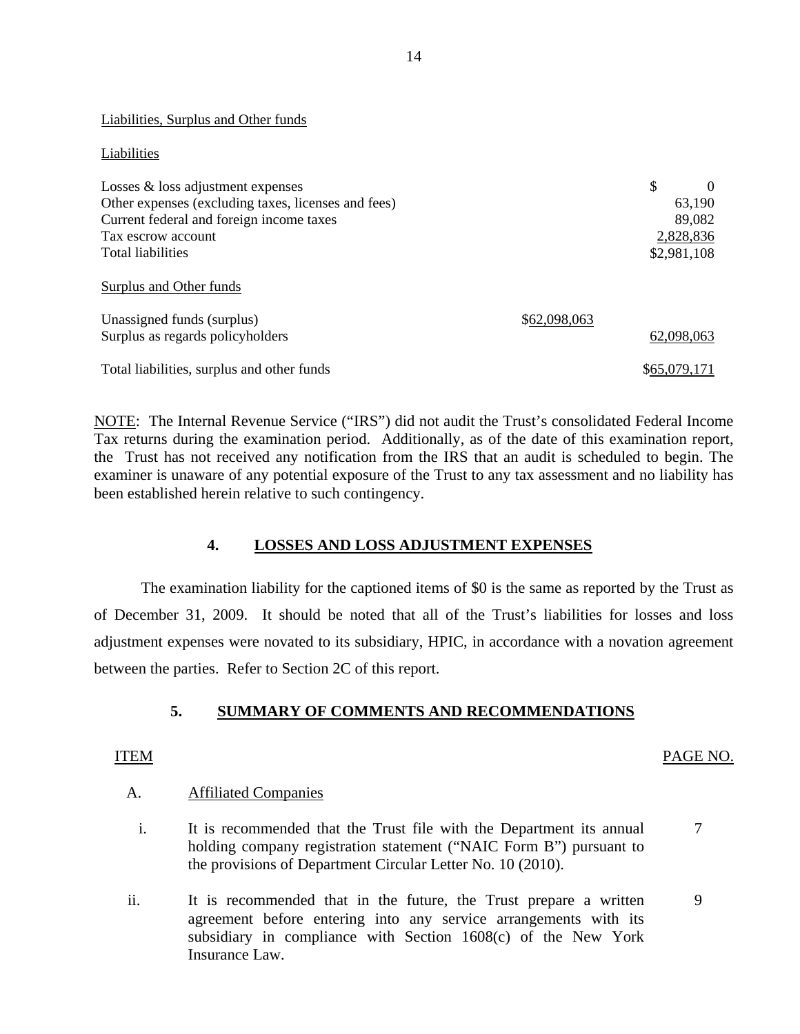#### Liabilities, Surplus and Other funds

#### Liabilities

| Losses $\&$ loss adjustment expenses                         |              | \$           |
|--------------------------------------------------------------|--------------|--------------|
| Other expenses (excluding taxes, licenses and fees)          |              | 63,190       |
| Current federal and foreign income taxes                     |              | 89,082       |
| Tax escrow account                                           |              | 2,828,836    |
| Total liabilities                                            |              | \$2,981,108  |
| <b>Surplus and Other funds</b><br>Unassigned funds (surplus) | \$62,098,063 |              |
| Surplus as regards policyholders                             |              | 62,098,063   |
| Total liabilities, surplus and other funds                   |              | \$65,079,171 |

NOTE: The Internal Revenue Service ("IRS") did not audit the Trust's consolidated Federal Income Tax returns during the examination period. Additionally, as of the date of this examination report, the Trust has not received any notification from the IRS that an audit is scheduled to begin. The examiner is unaware of any potential exposure of the Trust to any tax assessment and no liability has been established herein relative to such contingency.

# **4. LOSSES AND LOSS ADJUSTMENT EXPENSES**

The examination liability for the captioned items of \$0 is the same as reported by the Trust as of December 31, 2009. It should be noted that all of the Trust's liabilities for losses and loss adjustment expenses were novated to its subsidiary, HPIC, in accordance with a novation agreement between the parties. Refer to Section 2C of this report.

# **5. SUMMARY OF COMMENTS AND RECOMMENDATIONS**

# A. Affiliated Companies

- i. It is recommended that the Trust file with the Department its annual 7 holding company registration statement ("NAIC Form B") pursuant to the provisions of Department Circular Letter No. 10 (2010).
- ii. It is recommended that in the future, the Trust prepare a written 9 agreement before entering into any service arrangements with its subsidiary in compliance with Section 1608(c) of the New York Insurance Law.

ITEM PAGE NO.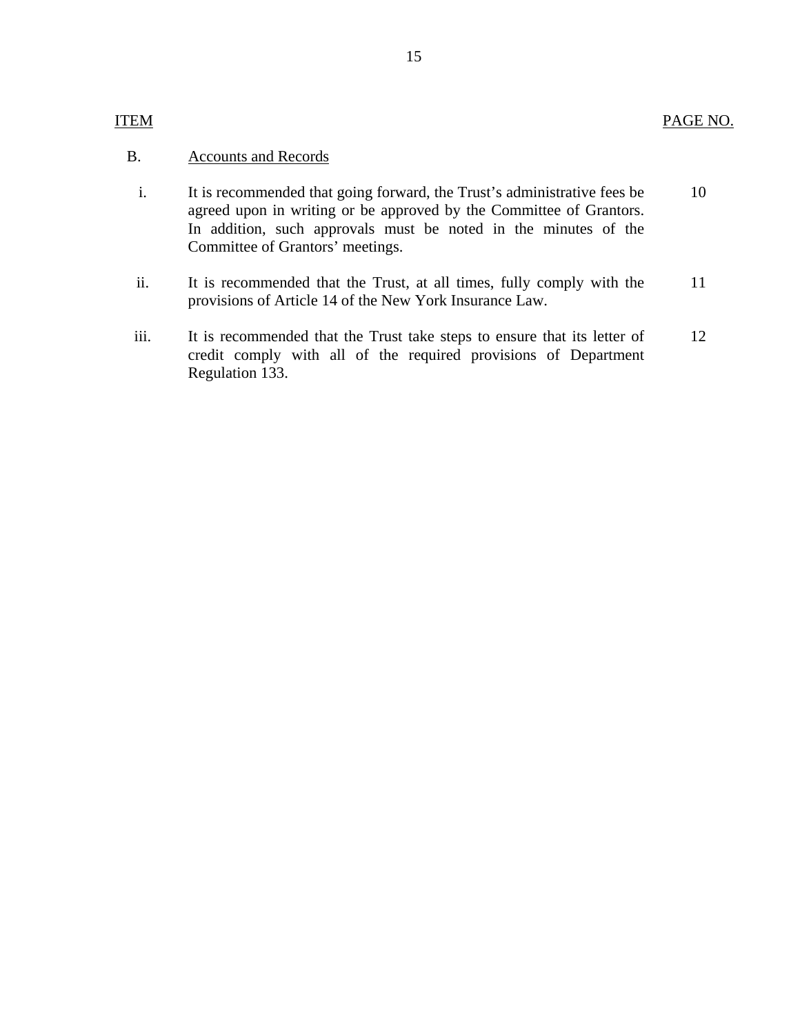- i. It is recommended that going forward, the Trust's administrative fees be 10 agreed upon in writing or be approved by the Committee of Grantors. In addition, such approvals must be noted in the minutes of the Committee of Grantors' meetings.
- ii. It is recommended that the Trust, at all times, fully comply with the 11 provisions of Article 14 of the New York Insurance Law.
- iii. It is recommended that the Trust take steps to ensure that its letter of 12 credit comply with all of the required provisions of Department Regulation 133.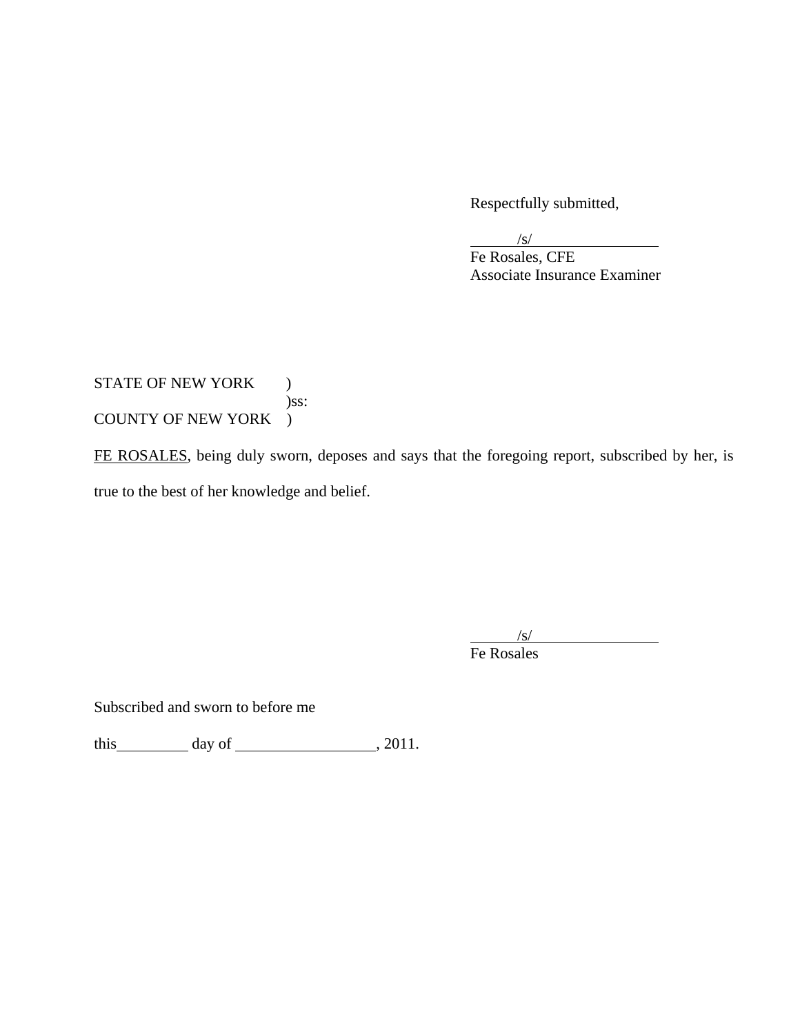Respectfully submitted,

 $\sqrt{s}$ /s/

 Fe Rosales, CFE Associate Insurance Examiner

STATE OF NEW YORK ) )ss: COUNTY OF NEW YORK )

FE ROSALES, being duly sworn, deposes and says that the foregoing report, subscribed by her, is true to the best of her knowledge and belief.

 $\sqrt{s}$ /s/

Fe Rosales

Subscribed and sworn to before me

this  $\qquad \qquad$  day of  $\qquad \qquad$  , 2011.